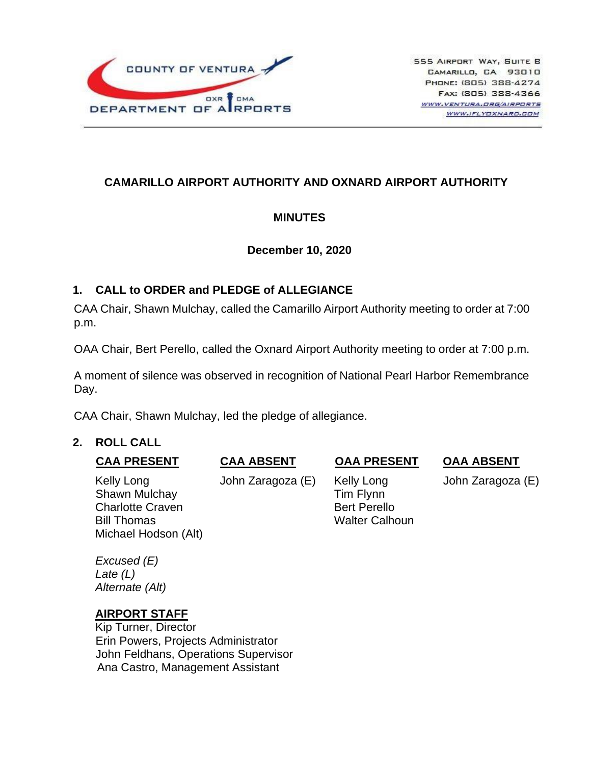

# **CAMARILLO AIRPORT AUTHORITY AND OXNARD AIRPORT AUTHORITY**

### **MINUTES**

### **December 10, 2020**

### **1. CALL to ORDER and PLEDGE of ALLEGIANCE**

CAA Chair, Shawn Mulchay, called the Camarillo Airport Authority meeting to order at 7:00 p.m.

OAA Chair, Bert Perello, called the Oxnard Airport Authority meeting to order at 7:00 p.m.

A moment of silence was observed in recognition of National Pearl Harbor Remembrance Day.

CAA Chair, Shawn Mulchay, led the pledge of allegiance.

### **2. ROLL CALL**

### **CAA PRESENT CAA ABSENT OAA PRESENT OAA ABSENT**

Michael Hodson (Alt)

Kelly Long **John Zaragoza (E)** Kelly Long John Zaragoza (E) Shawn Mulchay **Tim Flynn** Charlotte Craven **Bert Perello** Bill Thomas Walter Calhoun

*Excused (E) Late (L) Alternate (Alt)*

### **AIRPORT STAFF**

Kip Turner, Director Erin Powers, Projects Administrator John Feldhans, Operations Supervisor Ana Castro, Management Assistant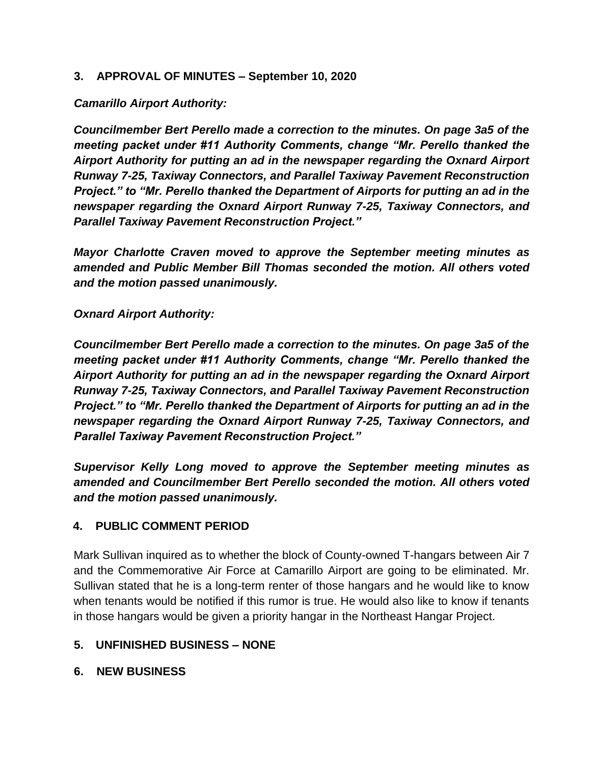### **3. APPROVAL OF MINUTES – September 10, 2020**

### *Camarillo Airport Authority:*

*Councilmember Bert Perello made a correction to the minutes. On page 3a5 of the meeting packet under #11 Authority Comments, change "Mr. Perello thanked the Airport Authority for putting an ad in the newspaper regarding the Oxnard Airport Runway 7-25, Taxiway Connectors, and Parallel Taxiway Pavement Reconstruction Project." to "Mr. Perello thanked the Department of Airports for putting an ad in the newspaper regarding the Oxnard Airport Runway 7-25, Taxiway Connectors, and Parallel Taxiway Pavement Reconstruction Project."* 

*Mayor Charlotte Craven moved to approve the September meeting minutes as amended and Public Member Bill Thomas seconded the motion. All others voted and the motion passed unanimously.*

*Oxnard Airport Authority:* 

*Councilmember Bert Perello made a correction to the minutes. On page 3a5 of the meeting packet under #11 Authority Comments, change "Mr. Perello thanked the Airport Authority for putting an ad in the newspaper regarding the Oxnard Airport Runway 7-25, Taxiway Connectors, and Parallel Taxiway Pavement Reconstruction Project." to "Mr. Perello thanked the Department of Airports for putting an ad in the newspaper regarding the Oxnard Airport Runway 7-25, Taxiway Connectors, and Parallel Taxiway Pavement Reconstruction Project."* 

*Supervisor Kelly Long moved to approve the September meeting minutes as amended and Councilmember Bert Perello seconded the motion. All others voted and the motion passed unanimously.* 

#### **4. PUBLIC COMMENT PERIOD**

Mark Sullivan inquired as to whether the block of County-owned T-hangars between Air 7 and the Commemorative Air Force at Camarillo Airport are going to be eliminated. Mr. Sullivan stated that he is a long-term renter of those hangars and he would like to know when tenants would be notified if this rumor is true. He would also like to know if tenants in those hangars would be given a priority hangar in the Northeast Hangar Project.

### **5. UNFINISHED BUSINESS – NONE**

#### **6. NEW BUSINESS**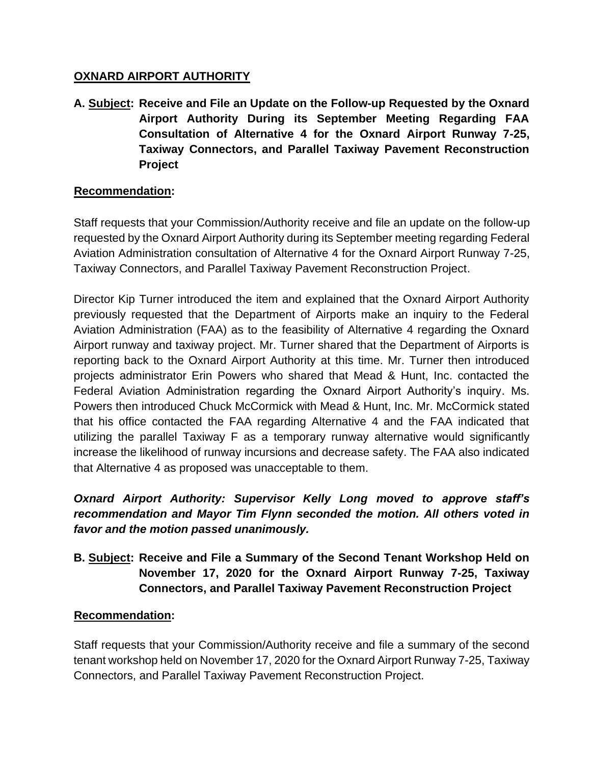### **OXNARD AIRPORT AUTHORITY**

**A. Subject: Receive and File an Update on the Follow-up Requested by the Oxnard Airport Authority During its September Meeting Regarding FAA Consultation of Alternative 4 for the Oxnard Airport Runway 7-25, Taxiway Connectors, and Parallel Taxiway Pavement Reconstruction Project**

### **Recommendation:**

Staff requests that your Commission/Authority receive and file an update on the follow-up requested by the Oxnard Airport Authority during its September meeting regarding Federal Aviation Administration consultation of Alternative 4 for the Oxnard Airport Runway 7-25, Taxiway Connectors, and Parallel Taxiway Pavement Reconstruction Project.

Director Kip Turner introduced the item and explained that the Oxnard Airport Authority previously requested that the Department of Airports make an inquiry to the Federal Aviation Administration (FAA) as to the feasibility of Alternative 4 regarding the Oxnard Airport runway and taxiway project. Mr. Turner shared that the Department of Airports is reporting back to the Oxnard Airport Authority at this time. Mr. Turner then introduced projects administrator Erin Powers who shared that Mead & Hunt, Inc. contacted the Federal Aviation Administration regarding the Oxnard Airport Authority's inquiry. Ms. Powers then introduced Chuck McCormick with Mead & Hunt, Inc. Mr. McCormick stated that his office contacted the FAA regarding Alternative 4 and the FAA indicated that utilizing the parallel Taxiway F as a temporary runway alternative would significantly increase the likelihood of runway incursions and decrease safety. The FAA also indicated that Alternative 4 as proposed was unacceptable to them.

# *Oxnard Airport Authority: Supervisor Kelly Long moved to approve staff's recommendation and Mayor Tim Flynn seconded the motion. All others voted in favor and the motion passed unanimously.*

# **B. Subject: Receive and File a Summary of the Second Tenant Workshop Held on November 17, 2020 for the Oxnard Airport Runway 7-25, Taxiway Connectors, and Parallel Taxiway Pavement Reconstruction Project**

### **Recommendation:**

Staff requests that your Commission/Authority receive and file a summary of the second tenant workshop held on November 17, 2020 for the Oxnard Airport Runway 7-25, Taxiway Connectors, and Parallel Taxiway Pavement Reconstruction Project.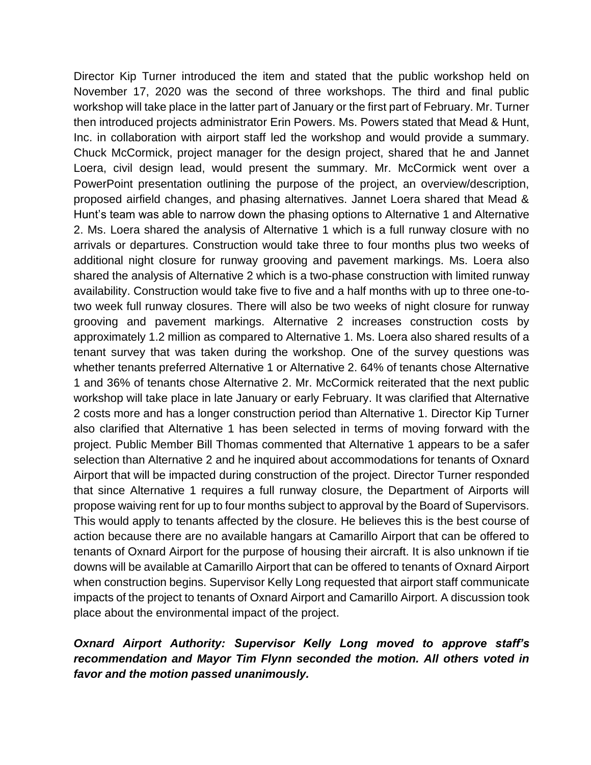Director Kip Turner introduced the item and stated that the public workshop held on November 17, 2020 was the second of three workshops. The third and final public workshop will take place in the latter part of January or the first part of February. Mr. Turner then introduced projects administrator Erin Powers. Ms. Powers stated that Mead & Hunt, Inc. in collaboration with airport staff led the workshop and would provide a summary. Chuck McCormick, project manager for the design project, shared that he and Jannet Loera, civil design lead, would present the summary. Mr. McCormick went over a PowerPoint presentation outlining the purpose of the project, an overview/description, proposed airfield changes, and phasing alternatives. Jannet Loera shared that Mead & Hunt's team was able to narrow down the phasing options to Alternative 1 and Alternative 2. Ms. Loera shared the analysis of Alternative 1 which is a full runway closure with no arrivals or departures. Construction would take three to four months plus two weeks of additional night closure for runway grooving and pavement markings. Ms. Loera also shared the analysis of Alternative 2 which is a two-phase construction with limited runway availability. Construction would take five to five and a half months with up to three one-totwo week full runway closures. There will also be two weeks of night closure for runway grooving and pavement markings. Alternative 2 increases construction costs by approximately 1.2 million as compared to Alternative 1. Ms. Loera also shared results of a tenant survey that was taken during the workshop. One of the survey questions was whether tenants preferred Alternative 1 or Alternative 2. 64% of tenants chose Alternative 1 and 36% of tenants chose Alternative 2. Mr. McCormick reiterated that the next public workshop will take place in late January or early February. It was clarified that Alternative 2 costs more and has a longer construction period than Alternative 1. Director Kip Turner also clarified that Alternative 1 has been selected in terms of moving forward with the project. Public Member Bill Thomas commented that Alternative 1 appears to be a safer selection than Alternative 2 and he inquired about accommodations for tenants of Oxnard Airport that will be impacted during construction of the project. Director Turner responded that since Alternative 1 requires a full runway closure, the Department of Airports will propose waiving rent for up to four months subject to approval by the Board of Supervisors. This would apply to tenants affected by the closure. He believes this is the best course of action because there are no available hangars at Camarillo Airport that can be offered to tenants of Oxnard Airport for the purpose of housing their aircraft. It is also unknown if tie downs will be available at Camarillo Airport that can be offered to tenants of Oxnard Airport when construction begins. Supervisor Kelly Long requested that airport staff communicate impacts of the project to tenants of Oxnard Airport and Camarillo Airport. A discussion took place about the environmental impact of the project.

### *Oxnard Airport Authority: Supervisor Kelly Long moved to approve staff's recommendation and Mayor Tim Flynn seconded the motion. All others voted in favor and the motion passed unanimously.*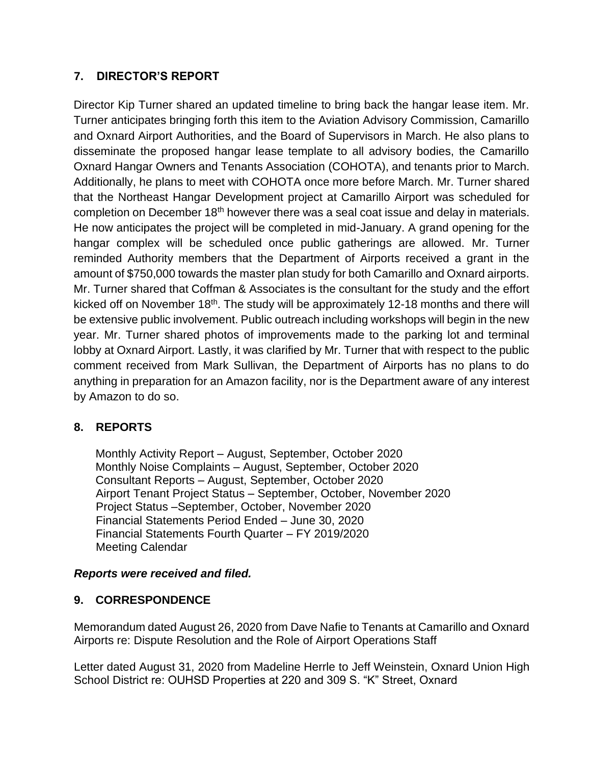## **7. DIRECTOR'S REPORT**

Director Kip Turner shared an updated timeline to bring back the hangar lease item. Mr. Turner anticipates bringing forth this item to the Aviation Advisory Commission, Camarillo and Oxnard Airport Authorities, and the Board of Supervisors in March. He also plans to disseminate the proposed hangar lease template to all advisory bodies, the Camarillo Oxnard Hangar Owners and Tenants Association (COHOTA), and tenants prior to March. Additionally, he plans to meet with COHOTA once more before March. Mr. Turner shared that the Northeast Hangar Development project at Camarillo Airport was scheduled for completion on December 18<sup>th</sup> however there was a seal coat issue and delay in materials. He now anticipates the project will be completed in mid-January. A grand opening for the hangar complex will be scheduled once public gatherings are allowed. Mr. Turner reminded Authority members that the Department of Airports received a grant in the amount of \$750,000 towards the master plan study for both Camarillo and Oxnard airports. Mr. Turner shared that Coffman & Associates is the consultant for the study and the effort kicked off on November 18<sup>th</sup>. The study will be approximately 12-18 months and there will be extensive public involvement. Public outreach including workshops will begin in the new year. Mr. Turner shared photos of improvements made to the parking lot and terminal lobby at Oxnard Airport. Lastly, it was clarified by Mr. Turner that with respect to the public comment received from Mark Sullivan, the Department of Airports has no plans to do anything in preparation for an Amazon facility, nor is the Department aware of any interest by Amazon to do so.

## **8. REPORTS**

Monthly Activity Report – August, September, October 2020 Monthly Noise Complaints – August, September, October 2020 Consultant Reports – August, September, October 2020 Airport Tenant Project Status – September, October, November 2020 Project Status –September, October, November 2020 Financial Statements Period Ended – June 30, 2020 Financial Statements Fourth Quarter – FY 2019/2020 Meeting Calendar

### *Reports were received and filed.*

### **9. CORRESPONDENCE**

Memorandum dated August 26, 2020 from Dave Nafie to Tenants at Camarillo and Oxnard Airports re: Dispute Resolution and the Role of Airport Operations Staff

Letter dated August 31, 2020 from Madeline Herrle to Jeff Weinstein, Oxnard Union High School District re: OUHSD Properties at 220 and 309 S. "K" Street, Oxnard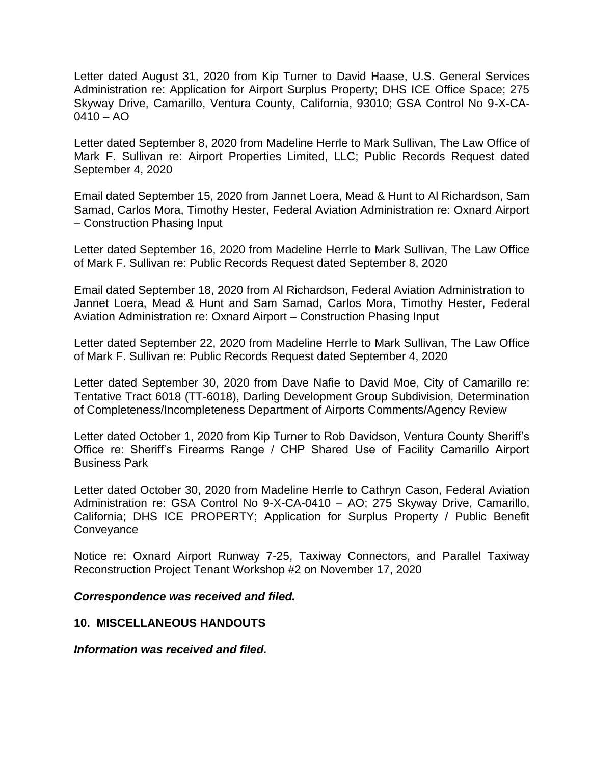Letter dated August 31, 2020 from Kip Turner to David Haase, U.S. General Services Administration re: Application for Airport Surplus Property; DHS ICE Office Space; 275 Skyway Drive, Camarillo, Ventura County, California, 93010; GSA Control No 9-X-CA- $0410 - AO$ 

Letter dated September 8, 2020 from Madeline Herrle to Mark Sullivan, The Law Office of Mark F. Sullivan re: Airport Properties Limited, LLC; Public Records Request dated September 4, 2020

Email dated September 15, 2020 from Jannet Loera, Mead & Hunt to Al Richardson, Sam Samad, Carlos Mora, Timothy Hester, Federal Aviation Administration re: Oxnard Airport – Construction Phasing Input

Letter dated September 16, 2020 from Madeline Herrle to Mark Sullivan, The Law Office of Mark F. Sullivan re: Public Records Request dated September 8, 2020

Email dated September 18, 2020 from Al Richardson, Federal Aviation Administration to Jannet Loera, Mead & Hunt and Sam Samad, Carlos Mora, Timothy Hester, Federal Aviation Administration re: Oxnard Airport – Construction Phasing Input

Letter dated September 22, 2020 from Madeline Herrle to Mark Sullivan, The Law Office of Mark F. Sullivan re: Public Records Request dated September 4, 2020

Letter dated September 30, 2020 from Dave Nafie to David Moe, City of Camarillo re: Tentative Tract 6018 (TT-6018), Darling Development Group Subdivision, Determination of Completeness/Incompleteness Department of Airports Comments/Agency Review

Letter dated October 1, 2020 from Kip Turner to Rob Davidson, Ventura County Sheriff's Office re: Sheriff's Firearms Range / CHP Shared Use of Facility Camarillo Airport Business Park

Letter dated October 30, 2020 from Madeline Herrle to Cathryn Cason, Federal Aviation Administration re: GSA Control No 9-X-CA-0410 – AO; 275 Skyway Drive, Camarillo, California; DHS ICE PROPERTY; Application for Surplus Property / Public Benefit **Conveyance** 

Notice re: Oxnard Airport Runway 7-25, Taxiway Connectors, and Parallel Taxiway Reconstruction Project Tenant Workshop #2 on November 17, 2020

#### *Correspondence was received and filed.*

#### **10. MISCELLANEOUS HANDOUTS**

*Information was received and filed.*